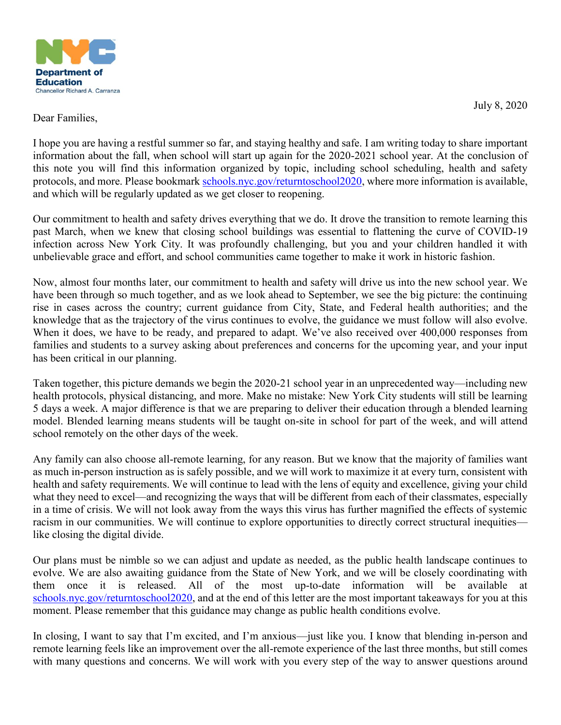

July 8, 2020

### Dear Families,

I hope you are having a restful summer so far, and staying healthy and safe. I am writing today to share important information about the fall, when school will start up again for the 2020-2021 school year. At the conclusion of this note you will find this information organized by topic, including school scheduling, health and safety protocols, and more. Please bookmark schools.nyc.gov/returntoschool2020, where more information is available, and which will be regularly updated as we get closer to reopening.

Our commitment to health and safety drives everything that we do. It drove the transition to remote learning this past March, when we knew that closing school buildings was essential to flattening the curve of COVID-19 infection across New York City. It was profoundly challenging, but you and your children handled it with unbelievable grace and effort, and school communities came together to make it work in historic fashion.

Now, almost four months later, our commitment to health and safety will drive us into the new school year. We have been through so much together, and as we look ahead to September, we see the big picture: the continuing rise in cases across the country; current guidance from City, State, and Federal health authorities; and the knowledge that as the trajectory of the virus continues to evolve, the guidance we must follow will also evolve. When it does, we have to be ready, and prepared to adapt. We've also received over 400,000 responses from families and students to a survey asking about preferences and concerns for the upcoming year, and your input has been critical in our planning.

Taken together, this picture demands we begin the 2020-21 school year in an unprecedented way—including new health protocols, physical distancing, and more. Make no mistake: New York City students will still be learning 5 days a week. A major difference is that we are preparing to deliver their education through a blended learning model. Blended learning means students will be taught on-site in school for part of the week, and will attend school remotely on the other days of the week.

Any family can also choose all-remote learning, for any reason. But we know that the majority of families want as much in-person instruction as is safely possible, and we will work to maximize it at every turn, consistent with health and safety requirements. We will continue to lead with the lens of equity and excellence, giving your child what they need to excel—and recognizing the ways that will be different from each of their classmates, especially in a time of crisis. We will not look away from the ways this virus has further magnified the effects of systemic racism in our communities. We will continue to explore opportunities to directly correct structural inequities like closing the digital divide.

Our plans must be nimble so we can adjust and update as needed, as the public health landscape continues to evolve. We are also awaiting guidance from the State of New York, and we will be closely coordinating with them once it is released. All of the most up-to-date information will be available at schools.nyc.gov/returntoschool2020, and at the end of this letter are the most important takeaways for you at this moment. Please remember that this guidance may change as public health conditions evolve.

In closing, I want to say that I'm excited, and I'm anxious—just like you. I know that blending in-person and remote learning feels like an improvement over the all-remote experience of the last three months, but still comes with many questions and concerns. We will work with you every step of the way to answer questions around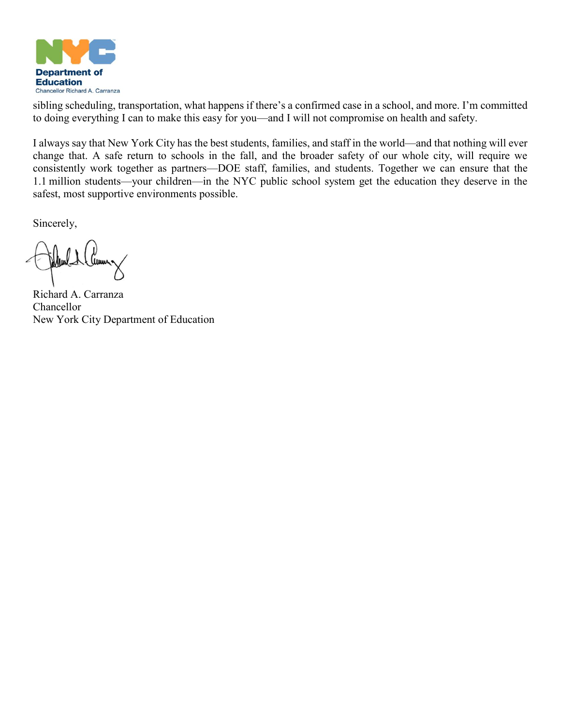

sibling scheduling, transportation, what happens if there's a confirmed case in a school, and more. I'm committed to doing everything I can to make this easy for you—and I will not compromise on health and safety.

I always say that New York City has the best students, families, and staff in the world—and that nothing will ever change that. A safe return to schools in the fall, and the broader safety of our whole city, will require we consistently work together as partners—DOE staff, families, and students. Together we can ensure that the 1.1 million students—your children—in the NYC public school system get the education they deserve in the safest, most supportive environments possible.

Sincerely,

*Cema*n-

Richard A. Carranza Chancellor New York City Department of Education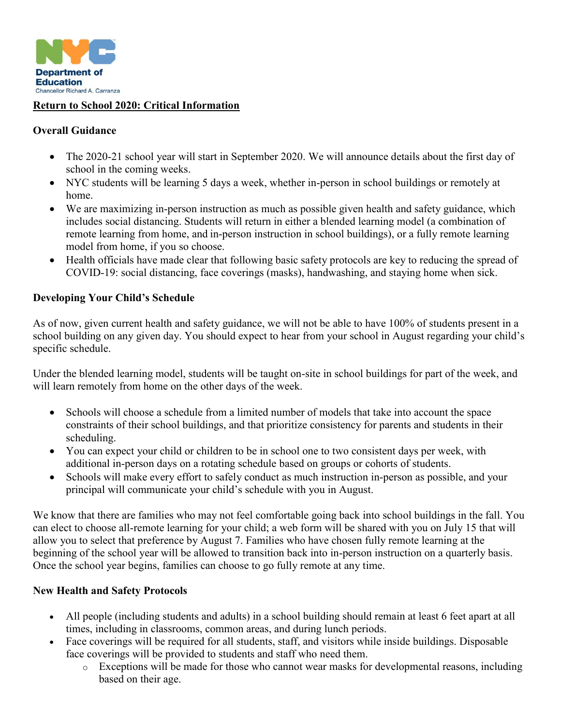

### **Return to School 2020: Critical Information**

#### **Overall Guidance**

- The 2020-21 school year will start in September 2020. We will announce details about the first day of school in the coming weeks.
- NYC students will be learning 5 days a week, whether in-person in school buildings or remotely at home.
- We are maximizing in-person instruction as much as possible given health and safety guidance, which includes social distancing. Students will return in either a blended learning model (a combination of remote learning from home, and in-person instruction in school buildings), or a fully remote learning model from home, if you so choose.
- Health officials have made clear that following basic safety protocols are key to reducing the spread of COVID-19: social distancing, face coverings (masks), handwashing, and staying home when sick.

#### **Developing Your Child's Schedule**

As of now, given current health and safety guidance, we will not be able to have 100% of students present in a school building on any given day. You should expect to hear from your school in August regarding your child's specific schedule.

Under the blended learning model, students will be taught on-site in school buildings for part of the week, and will learn remotely from home on the other days of the week.

- Schools will choose a schedule from a limited number of models that take into account the space constraints of their school buildings, and that prioritize consistency for parents and students in their scheduling.
- You can expect your child or children to be in school one to two consistent days per week, with additional in-person days on a rotating schedule based on groups or cohorts of students.
- Schools will make every effort to safely conduct as much instruction in-person as possible, and your principal will communicate your child's schedule with you in August.

We know that there are families who may not feel comfortable going back into school buildings in the fall. You can elect to choose all-remote learning for your child; a web form will be shared with you on July 15 that will allow you to select that preference by August 7. Families who have chosen fully remote learning at the beginning of the school year will be allowed to transition back into in-person instruction on a quarterly basis. Once the school year begins, families can choose to go fully remote at any time.

## **New Health and Safety Protocols**

- All people (including students and adults) in a school building should remain at least 6 feet apart at all times, including in classrooms, common areas, and during lunch periods.
- Face coverings will be required for all students, staff, and visitors while inside buildings. Disposable face coverings will be provided to students and staff who need them.
	- o Exceptions will be made for those who cannot wear masks for developmental reasons, including based on their age.